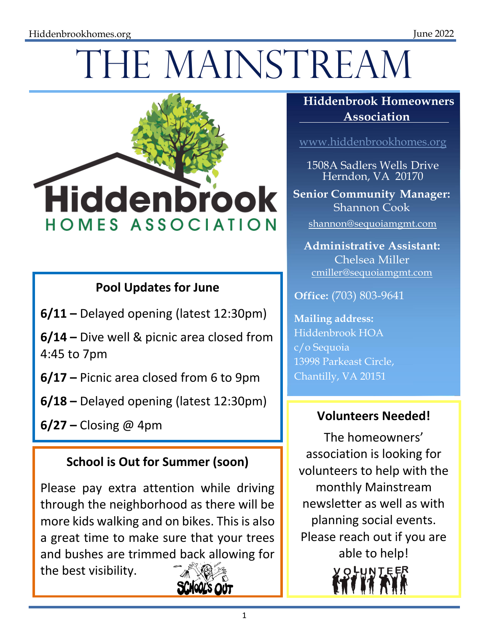# THE MAINSTREAM



## **Pool Updates for June**

**6/11 –** Delayed opening (latest 12:30pm)

**6/14 –** Dive well & picnic area closed from 4:45 to 7pm

**6/17 –** Picnic area closed from 6 to 9pm

**6/18 –** Delayed opening (latest 12:30pm)

**6/27** – Closing @ 4pm **Volunteers Needed!** 

### **School is Out for Summer (soon)**

Please pay extra attention while driving through the neighborhood as there will be more kids walking and on bikes. This is also a great time to make sure that your trees and bushes are trimmed back allowing for the best visibility.



#### **Hiddenbrook Homeowners Association**

www.hiddenbrookhomes.org

1508A Sadlers Wells Drive Herndon, VA 20170

**Senior Community Manager:** Shannon Cook

shannon@sequoiamgmt.com

**Administrative Assistant:** Chelsea Miller cmiller@sequoiamgmt.com

**Office:** (703) 803-9641

**Mailing address:** Hiddenbrook HOA c/o Sequoia 13998 Parkeast Circle, Chantilly, VA 20151

The homeowners' association is looking for volunteers to help with the monthly Mainstream newsletter as well as with planning social events. Please reach out if you are able to help! **OHUNTEER**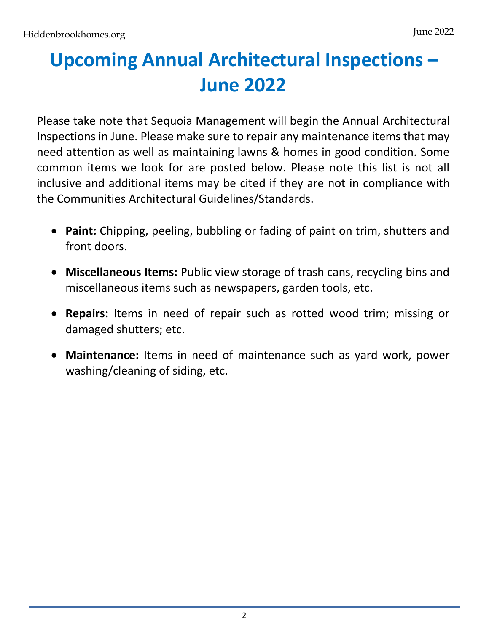# **Upcoming Annual Architectural Inspections – June 2022**

Please take note that Sequoia Management will begin the Annual Architectural Inspections in June. Please make sure to repair any maintenance items that may need attention as well as maintaining lawns & homes in good condition. Some common items we look for are posted below. Please note this list is not all inclusive and additional items may be cited if they are not in compliance with the Communities Architectural Guidelines/Standards.

- **Paint:** Chipping, peeling, bubbling or fading of paint on trim, shutters and front doors.
- **Miscellaneous Items:** Public view storage of trash cans, recycling bins and miscellaneous items such as newspapers, garden tools, etc.
- **Repairs:** Items in need of repair such as rotted wood trim; missing or damaged shutters; etc.
- **Maintenance:** Items in need of maintenance such as yard work, power washing/cleaning of siding, etc.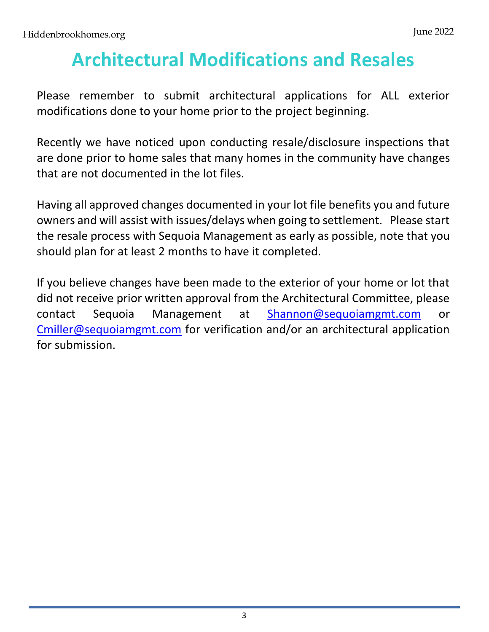# **Architectural Modifications and Resales**

Please remember to submit architectural applications for ALL exterior modifications done to your home prior to the project beginning.

Recently we have noticed upon conducting resale/disclosure inspections that are done prior to home sales that many homes in the community have changes that are not documented in the lot files.

Having all approved changes documented in your lot file benefits you and future owners and will assist with issues/delays when going to settlement. Please start the resale process with Sequoia Management as early as possible, note that you should plan for at least 2 months to have it completed.

If you believe changes have been made to the exterior of your home or lot that did not receive prior written approval from the Architectural Committee, please contact Sequoia Management at Shannon@sequoiamgmt.com or Cmiller@sequoiamgmt.com for verification and/or an architectural application for submission.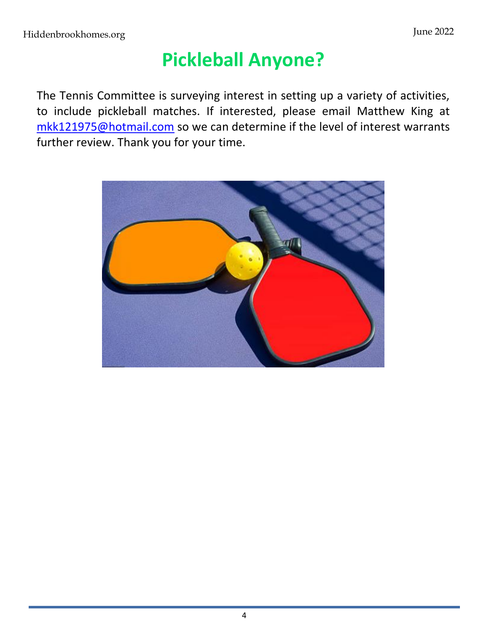# **Pickleball Anyone?**

The Tennis Committee is surveying interest in setting up a variety of activities, to include pickleball matches. If interested, please email Matthew King at mkk121975@hotmail.com so we can determine if the level of interest warrants further review. Thank you for your time.

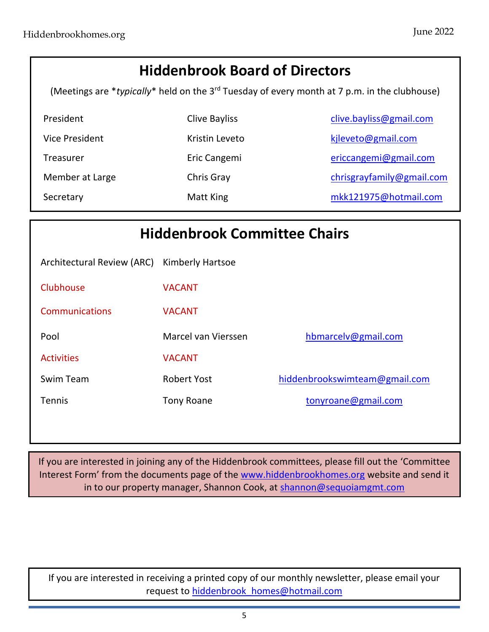# **Hiddenbrook Board of Directors** (Meetings are \**typically*\* held on the 3rd Tuesday of every month at 7 p.m. in the clubhouse) President Clive Bayliss Clive.bayliss@gmail.com Vice President **Kristin Leveto** Kristin Leveto kileveto@gmail.com Treasurer **Eric Cangemi** Eric Cangemi ericcangemi@gmail.com Member at Large Chris Gray Chris Gray chrisgrayfamily@gmail.com Secretary Matt King mkk121975@hotmail.com

| <b>Hiddenbrook Committee Chairs</b> |                         |                               |
|-------------------------------------|-------------------------|-------------------------------|
| Architectural Review (ARC)          | <b>Kimberly Hartsoe</b> |                               |
| Clubhouse                           | <b>VACANT</b>           |                               |
| Communications                      | <b>VACANT</b>           |                               |
| Pool                                | Marcel van Vierssen     | hbmarcelv@gmail.com           |
| <b>Activities</b>                   | <b>VACANT</b>           |                               |
| Swim Team                           | <b>Robert Yost</b>      | hiddenbrookswimteam@gmail.com |
| <b>Tennis</b>                       | <b>Tony Roane</b>       | tonyroane@gmail.com           |

If you are interested in joining any of the Hiddenbrook committees, please fill out the 'Committee Interest Form' from the documents page of the www.hiddenbrookhomes.org website and send it in to our property manager, Shannon Cook, at shannon@sequoiamgmt.com

If you are interested in receiving a printed copy of our monthly newsletter, please email your request to hiddenbrook homes@hotmail.com